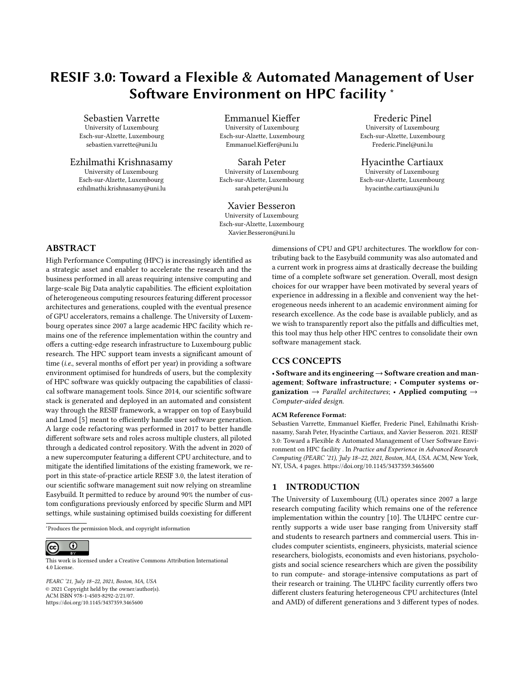# RESIF 3.0: Toward a Flexible & Automated Management of User Software Environment on HPC facility <sup>∗</sup>

Sebastien Varrette

University of Luxembourg Esch-sur-Alzette, Luxembourg sebastien.varrette@uni.lu

# Ezhilmathi Krishnasamy

University of Luxembourg Esch-sur-Alzette, Luxembourg ezhilmathi.krishnasamy@uni.lu

Emmanuel Kieffer University of Luxembourg Esch-sur-Alzette, Luxembourg Emmanuel.Kieffer@uni.lu

Sarah Peter University of Luxembourg Esch-sur-Alzette, Luxembourg sarah.peter@uni.lu

## Xavier Besseron

University of Luxembourg Esch-sur-Alzette, Luxembourg Xavier.Besseron@uni.lu

# Frederic Pinel

University of Luxembourg Esch-sur-Alzette, Luxembourg Frederic.Pinel@uni.lu

#### Hyacinthe Cartiaux

University of Luxembourg Esch-sur-Alzette, Luxembourg hyacinthe.cartiaux@uni.lu

## ABSTRACT

High Performance Computing (HPC) is increasingly identified as a strategic asset and enabler to accelerate the research and the business performed in all areas requiring intensive computing and large-scale Big Data analytic capabilities. The efficient exploitation of heterogeneous computing resources featuring different processor architectures and generations, coupled with the eventual presence of GPU accelerators, remains a challenge. The University of Luxembourg operates since 2007 a large academic HPC facility which remains one of the reference implementation within the country and offers a cutting-edge research infrastructure to Luxembourg public research. The HPC support team invests a significant amount of time (i.e., several months of effort per year) in providing a software environment optimised for hundreds of users, but the complexity of HPC software was quickly outpacing the capabilities of classical software management tools. Since 2014, our scientific software stack is generated and deployed in an automated and consistent way through the RESIF framework, a wrapper on top of Easybuild and Lmod [\[5\]](#page-3-0) meant to efficiently handle user software generation. A large code refactoring was performed in 2017 to better handle different software sets and roles across multiple clusters, all piloted through a dedicated control repository. With the advent in 2020 of a new supercomputer featuring a different CPU architecture, and to mitigate the identified limitations of the existing framework, we report in this state-of-practice article RESIF 3.0, the latest iteration of our scientific software management suit now relying on streamline Easybuild. It permitted to reduce by around 90% the number of custom configurations previously enforced by specific Slurm and MPI settings, while sustaining optimised builds coexisting for different

<sup>∗</sup>Produces the permission block, and copyright information

#### $\overline{O}$  $(cc)$

This work is licensed under a [Creative Commons Attribution International](https://creativecommons.org/licenses/by/4.0/) [4.0 License.](https://creativecommons.org/licenses/by/4.0/)

PEARC '21, July 18–22, 2021, Boston, MA, USA © 2021 Copyright held by the owner/author(s). ACM ISBN 978-1-4503-8292-2/21/07. <https://doi.org/10.1145/3437359.3465600>

dimensions of CPU and GPU architectures. The workflow for contributing back to the Easybuild community was also automated and a current work in progress aims at drastically decrease the building time of a complete software set generation. Overall, most design choices for our wrapper have been motivated by several years of experience in addressing in a flexible and convenient way the heterogeneous needs inherent to an academic environment aiming for research excellence. As the code base is available publicly, and as we wish to transparently report also the pitfalls and difficulties met, this tool may thus help other HPC centres to consolidate their own software management stack.

#### CCS CONCEPTS

• Software and its engineering → Software creation and management; Software infrastructure; • Computer systems organization  $\rightarrow$  Parallel architectures; • Applied computing  $\rightarrow$ Computer-aided design.

#### ACM Reference Format:

Sebastien Varrette, Emmanuel Kieffer, Frederic Pinel, Ezhilmathi Krishnasamy, Sarah Peter, Hyacinthe Cartiaux, and Xavier Besseron. 2021. RESIF 3.0: Toward a Flexible & Automated Management of User Software Environment on HPC facility . In Practice and Experience in Advanced Research Computing (PEARC '21), July 18–22, 2021, Boston, MA, USA. ACM, New York, NY, USA, [4](#page-3-1) pages.<https://doi.org/10.1145/3437359.3465600>

#### 1 INTRODUCTION

The University of Luxembourg (UL) operates since 2007 a large research computing facility which remains one of the reference implementation within the country [\[10\]](#page-3-2). The ULHPC centre currently supports a wide user base ranging from University staff and students to research partners and commercial users. This includes computer scientists, engineers, physicists, material science researchers, biologists, economists and even historians, psychologists and social science researchers which are given the possibility to run compute- and storage-intensive computations as part of their research or training. The ULHPC facility currently offers two different clusters featuring heterogeneous CPU architectures (Intel and AMD) of different generations and 3 different types of nodes.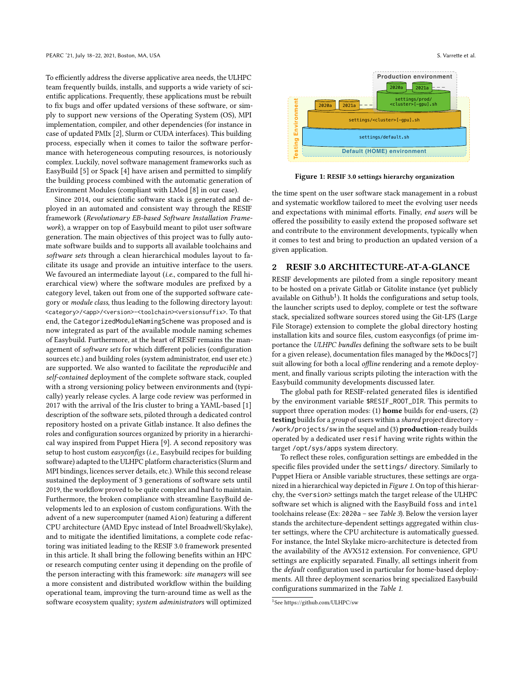To efficiently address the diverse applicative area needs, the ULHPC team frequently builds, installs, and supports a wide variety of scientific applications. Frequently, these applications must be rebuilt to fix bugs and offer updated versions of these software, or simply to support new versions of the Operating System (OS), MPI implementation, compiler, and other dependencies (for instance in case of updated PMIx [\[2\]](#page-3-3), Slurm or CUDA interfaces). This building process, especially when it comes to tailor the software performance with heterogeneous computing resources, is notoriously complex. Luckily, novel software management frameworks such as EasyBuild [\[5\]](#page-3-0) or Spack [\[4\]](#page-3-4) have arisen and permitted to simplify the building process combined with the automatic generation of Environment Modules (compliant with LMod [\[8\]](#page-3-5) in our case).

Since 2014, our scientific software stack is generated and deployed in an automated and consistent way through the RESIF framework (Revolutionary EB-based Software Installation Framework), a wrapper on top of Easybuild meant to pilot user software generation. The main objectives of this project was to fully automate software builds and to supports all available toolchains and software sets through a clean hierarchical modules layout to facilitate its usage and provide an intuitive interface to the users. We favoured an intermediate layout (*i.e.*, compared to the full hierarchical view) where the software modules are prefixed by a category level, taken out from one of the supported software category or module class, thus leading to the following directory layout: <category>/<app>/<version>-<toolchain><versionsuffix>. To that end, the CategorizedModuleNamingScheme was proposed and is now integrated as part of the available module naming schemes of Easybuild. Furthermore, at the heart of RESIF remains the management of software sets for which different policies (configuration sources etc.) and building roles (system administrator, end user etc.) are supported. We also wanted to facilitate the reproducible and self-contained deployment of the complete software stack, coupled with a strong versioning policy between environments and (typically) yearly release cycles. A large code review was performed in 2017 with the arrival of the Iris cluster to bring a YAML-based [\[1\]](#page-3-6) description of the software sets, piloted through a dedicated control repository hosted on a private Gitlab instance. It also defines the roles and configuration sources organized by priority in a hierarchical way inspired from Puppet Hiera [\[9\]](#page-3-7). A second repository was setup to host custom easyconfigs (i.e., Easybuild recipes for building software) adapted to the ULHPC platform characteristics (Slurm and MPI bindings, licences server details, etc.). While this second release sustained the deployment of 3 generations of software sets until 2019, the workflow proved to be quite complex and hard to maintain. Furthermore, the broken compliance with streamline EasyBuild developments led to an explosion of custom configurations. With the advent of a new supercomputer (named Aion) featuring a different CPU architecture (AMD Epyc instead of Intel Broadwell/Skylake), and to mitigate the identified limitations, a complete code refactoring was initiated leading to the RESIF 3.0 framework presented in this article. It shall bring the following benefits within an HPC or research computing center using it depending on the profile of the person interacting with this framework: site managers will see a more consistent and distributed workflow within the building operational team, improving the turn-around time as well as the software ecosystem quality; system administrators will optimized

<span id="page-1-1"></span>

Figure 1: RESIF 3.0 settings hierarchy organization

the time spent on the user software stack management in a robust and systematic workflow tailored to meet the evolving user needs and expectations with minimal efforts. Finally, end users will be offered the possibility to easily extend the proposed software set and contribute to the environment developments, typically when it comes to test and bring to production an updated version of a given application.

#### 2 RESIF 3.0 ARCHITECTURE-AT-A-GLANCE

RESIF developments are piloted from a single repository meant to be hosted on a private Gitlab or Gitolite instance (yet publicly available on  $Github<sup>1</sup>$  $Github<sup>1</sup>$  $Github<sup>1</sup>$ ). It holds the configurations and setup tools, the launcher scripts used to deploy, complete or test the software stack, specialized software sources stored using the Git-LFS (Large File Storage) extension to complete the global directory hosting installation kits and source files, custom easyconfigs (of prime importance the ULHPC bundles defining the software sets to be built for a given release), documentation files managed by the MkDocs[\[7\]](#page-3-8) suit allowing for both a local *offline* rendering and a remote deployment, and finally various scripts piloting the interaction with the Easybuild community developments discussed later.

The global path for RESIF-related generated files is identified by the environment variable \$RESIF\_ROOT\_DIR. This permits to support three operation modes: (1) home builds for end-users, (2) testing builds for a group of users within a shared project directory – /work/projects/sw in the sequel and (3) production-ready builds operated by a dedicated user resif having write rights within the target /opt/sys/apps system directory.

To reflect these roles, configuration settings are embedded in the specific files provided under the settings/ directory. Similarly to Puppet Hiera or Ansible variable structures, these settings are organized in a hierarchical way depicted in Figure [1](#page-1-1). On top of this hierarchy, the <version> settings match the target release of the ULHPC software set which is aligned with the EasyBuild foss and intel toolchains release (Ex: 2020a – see Table [3](#page-3-9)). Below the version layer stands the architecture-dependent settings aggregated within cluster settings, where the CPU architecture is automatically guessed. For instance, the Intel Skylake micro-architecture is detected from the availability of the AVX512 extension. For convenience, GPU settings are explicitly separated. Finally, all settings inherit from the default configuration used in particular for home-based deployments. All three deployment scenarios bring specialized Easybuild configurations summarized in the Table [1](#page-2-0).

<span id="page-1-0"></span><sup>1</sup> See<https://github.com/ULHPC/sw>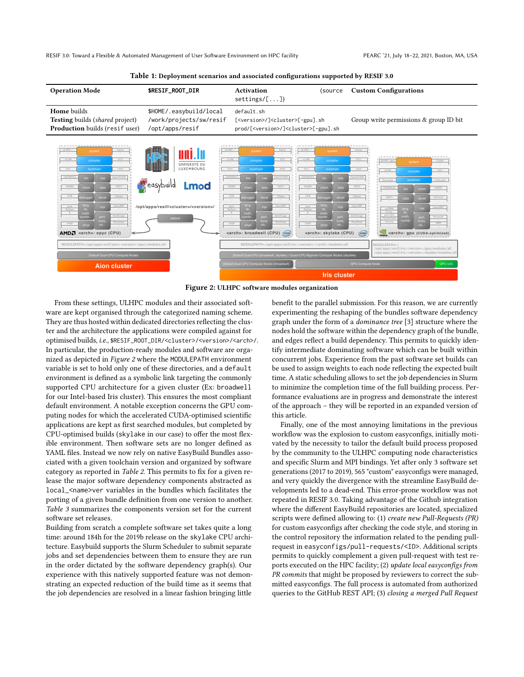RESIF 3.0: Toward a Flexible & Automated Management of User Software Environment on HPC facility PEARC '21, July 18-22, 2021, Boston, MA, USA

<span id="page-2-1"></span><span id="page-2-0"></span>

#### Table 1: Deployment scenarios and associated configurations supported by RESIF 3.0



From these settings, ULHPC modules and their associated software are kept organised through the categorized naming scheme. They are thus hosted within dedicated directories reflecting the cluster and the architecture the applications were compiled against for optimised builds, i.e., \$RESIF\_ROOT\_DIR/<cluster>/<version>/<arch>/. In particular, the production-ready modules and software are organized as depicted in Figure [2](#page-2-1) where the MODULEPATH environment variable is set to hold only one of these directories, and a default environment is defined as a symbolic link targeting the commonly supported CPU architecture for a given cluster (Ex: broadwell for our Intel-based Iris cluster). This ensures the most compliant default environment. A notable exception concerns the GPU computing nodes for which the accelerated CUDA-optimised scientific applications are kept as first searched modules, but completed by CPU-optimised builds (skylake in our case) to offer the most flexible environment. Then software sets are no longer defined as YAML files. Instead we now rely on native EasyBuild [Bundles](https://easybuild.readthedocs.io/en/latest/version-specific/generic_easyblocks.html#bundle) associated with a given toolchain version and organized by software category as reported in Table [2](#page-3-10). This permits to fix for a given release the major software dependency components abstracted as local\_<name>ver variables in the bundles which facilitates the porting of a given bundle definition from one version to another. Table [3](#page-3-9) summarizes the components version set for the current software set releases.

Building from scratch a complete software set takes quite a long time: around 184h for the 2019b release on the skylake CPU architecture. Easybuild supports the Slurm Scheduler to submit separate jobs and set dependencies between them to ensure they are run in the order dictated by the software dependency graph(s). Our experience with this natively supported feature was not demonstrating an expected reduction of the build time as it seems that the job dependencies are resolved in a linear fashion bringing little

benefit to the parallel submission. For this reason, we are currently experimenting the reshaping of the bundles software dependency graph under the form of a dominance tree [\[3\]](#page-3-11) structure where the nodes hold the software within the dependency graph of the bundle, and edges reflect a build dependency. This permits to quickly identify intermediate dominating software which can be built within concurrent jobs. Experience from the past software set builds can be used to assign weights to each node reflecting the expected built time. A static scheduling allows to set the job dependencies in Slurm to minimize the completion time of the full building process. Performance evaluations are in progress and demonstrate the interest of the approach – they will be reported in an expanded version of this article.

Finally, one of the most annoying limitations in the previous workflow was the explosion to custom easyconfigs, initially motivated by the necessity to tailor the default build process proposed by the community to the ULHPC computing node characteristics and specific Slurm and MPI bindings. Yet after only 3 software set generations (2017 to 2019), 565 "custom" easyconfigs were managed, and very quickly the divergence with the streamline EasyBuild developments led to a dead-end. This error-prone workflow was not repeated in RESIF 3.0. Taking advantage of the Github integration where the different EasyBuild repositories are located, specialized scripts were defined allowing to: (1) create new Pull-Requests (PR) for custom easyconfigs after checking the code style, and storing in the control repository the information related to the pending pullrequest in easyconfigs/pull-requests/<ID>. Additional scripts permits to quickly complement a given pull-request with test reports executed on the HPC facility; (2) update local easyconfigs from PR commits that might be proposed by reviewers to correct the submitted easyconfigs. The full process is automated from authorized queries to the GitHub REST API; (3) closing a merged Pull Request